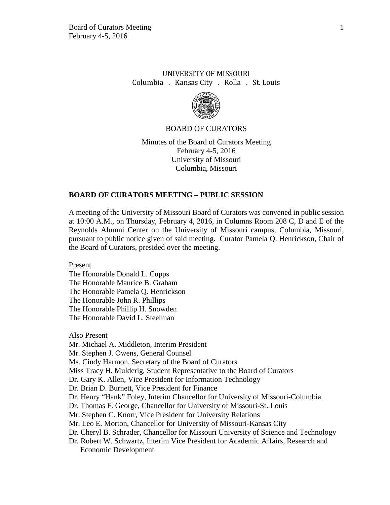# UNIVERSITY OF MISSOURI Columbia . Kansas City . Rolla . St. Louis



### BOARD OF CURATORS

Minutes of the Board of Curators Meeting February 4-5, 2016 University of Missouri Columbia, Missouri

### **BOARD OF CURATORS MEETING – PUBLIC SESSION**

A meeting of the University of Missouri Board of Curators was convened in public session at 10:00 A.M., on Thursday, February 4, 2016, in Columns Room 208 C, D and E of the Reynolds Alumni Center on the University of Missouri campus, Columbia, Missouri, pursuant to public notice given of said meeting. Curator Pamela Q. Henrickson, Chair of the Board of Curators, presided over the meeting.

Present

The Honorable Donald L. Cupps The Honorable Maurice B. Graham The Honorable Pamela Q. Henrickson The Honorable John R. Phillips The Honorable Phillip H. Snowden The Honorable David L. Steelman

Also Present

Mr. Michael A. Middleton, Interim President

Mr. Stephen J. Owens, General Counsel

Ms. Cindy Harmon, Secretary of the Board of Curators

Miss Tracy H. Mulderig, Student Representative to the Board of Curators

Dr. Gary K. Allen, Vice President for Information Technology

Dr. Brian D. Burnett, Vice President for Finance

Dr. Henry "Hank" Foley, Interim Chancellor for University of Missouri-Columbia

Dr. Thomas F. George, Chancellor for University of Missouri-St. Louis

Mr. Stephen C. Knorr, Vice President for University Relations

Mr. Leo E. Morton, Chancellor for University of Missouri-Kansas City

Dr. Cheryl B. Schrader, Chancellor for Missouri University of Science and Technology

Dr. Robert W. Schwartz, Interim Vice President for Academic Affairs, Research and Economic Development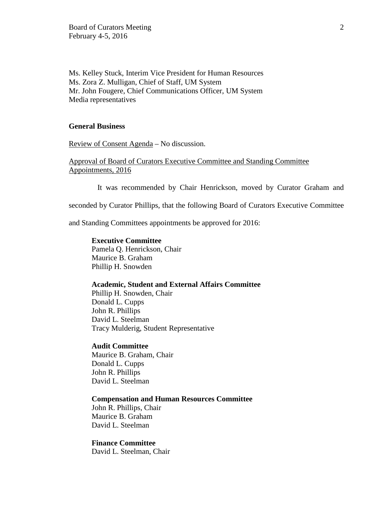Ms. Kelley Stuck, Interim Vice President for Human Resources Ms. Zora Z. Mulligan, Chief of Staff, UM System Mr. John Fougere, Chief Communications Officer, UM System Media representatives

### **General Business**

Review of Consent Agenda – No discussion.

Approval of Board of Curators Executive Committee and Standing Committee Appointments, 2016

It was recommended by Chair Henrickson, moved by Curator Graham and

seconded by Curator Phillips, that the following Board of Curators Executive Committee

and Standing Committees appointments be approved for 2016:

#### **Executive Committee**

Pamela Q. Henrickson, Chair Maurice B. Graham Phillip H. Snowden

### **Academic, Student and External Affairs Committee**

Phillip H. Snowden, Chair Donald L. Cupps John R. Phillips David L. Steelman Tracy Mulderig, Student Representative

#### **Audit Committee**

Maurice B. Graham, Chair Donald L. Cupps John R. Phillips David L. Steelman

### **Compensation and Human Resources Committee**

John R. Phillips, Chair Maurice B. Graham David L. Steelman

#### **Finance Committee**

David L. Steelman, Chair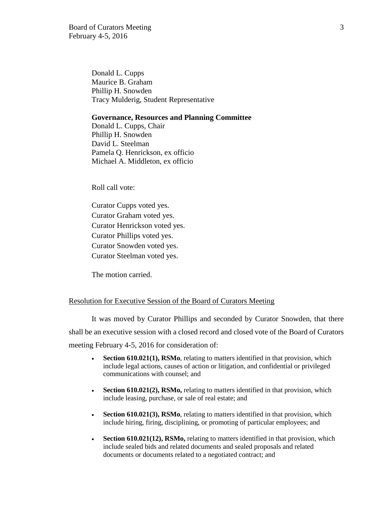Board of Curators Meeting 3 February 4-5, 2016

Donald L. Cupps Maurice B. Graham Phillip H. Snowden Tracy Mulderig, Student Representative

#### **Governance, Resources and Planning Committee**

Donald L. Cupps, Chair Phillip H. Snowden David L. Steelman Pamela Q. Henrickson, ex officio Michael A. Middleton, ex officio

Roll call vote:

Curator Cupps voted yes. Curator Graham voted yes. Curator Henrickson voted yes. Curator Phillips voted yes. Curator Snowden voted yes. Curator Steelman voted yes.

The motion carried.

#### Resolution for Executive Session of the Board of Curators Meeting

It was moved by Curator Phillips and seconded by Curator Snowden, that there shall be an executive session with a closed record and closed vote of the Board of Curators meeting February 4-5, 2016 for consideration of:

- **Section 610.021(1), RSMo**, relating to matters identified in that provision, which include legal actions, causes of action or litigation, and confidential or privileged communications with counsel; and
- **Section 610.021(2), RSMo,** relating to matters identified in that provision, which include leasing, purchase, or sale of real estate; and
- **Section 610.021(3), RSMo**, relating to matters identified in that provision, which include hiring, firing, disciplining, or promoting of particular employees; and
- **Section 610.021(12), RSMo,** relating to matters identified in that provision, which include sealed bids and related documents and sealed proposals and related documents or documents related to a negotiated contract; and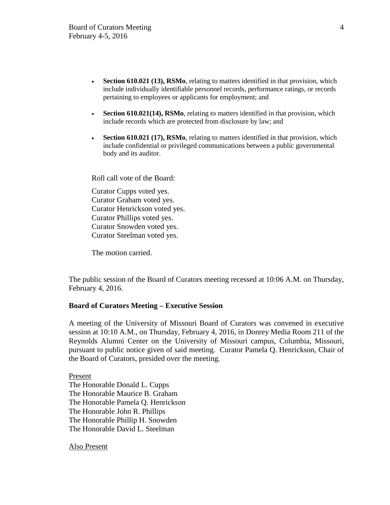- **Section 610.021 (13), RSMo**, relating to matters identified in that provision, which include individually identifiable personnel records, performance ratings, or records pertaining to employees or applicants for employment; and
- **Section 610.021(14), RSMo**, relating to matters identified in that provision, which include records which are protected from disclosure by law; and
- **Section 610.021 (17), RSMo**, relating to matters identified in that provision, which include confidential or privileged communications between a public governmental body and its auditor.

Roll call vote of the Board:

Curator Cupps voted yes. Curator Graham voted yes. Curator Henrickson voted yes. Curator Phillips voted yes. Curator Snowden voted yes. Curator Steelman voted yes.

The motion carried.

The public session of the Board of Curators meeting recessed at 10:06 A.M. on Thursday, February 4, 2016.

### **Board of Curators Meeting – Executive Session**

A meeting of the University of Missouri Board of Curators was convened in executive session at 10:10 A.M., on Thursday, February 4, 2016, in Donrey Media Room 211 of the Reynolds Alumni Center on the University of Missouri campus, Columbia, Missouri, pursuant to public notice given of said meeting. Curator Pamela Q. Henrickson, Chair of the Board of Curators, presided over the meeting.

Present The Honorable Donald L. Cupps The Honorable Maurice B. Graham The Honorable Pamela Q. Henrickson The Honorable John R. Phillips The Honorable Phillip H. Snowden The Honorable David L. Steelman

Also Present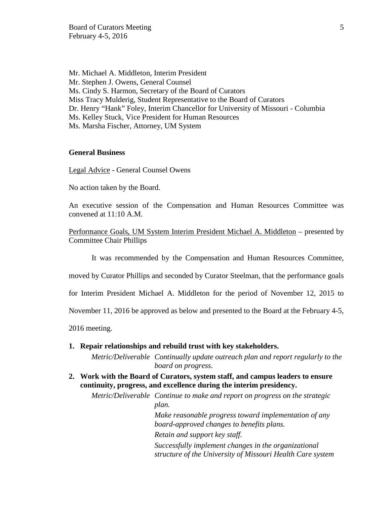Mr. Michael A. Middleton, Interim President Mr. Stephen J. Owens, General Counsel Ms. Cindy S. Harmon, Secretary of the Board of Curators Miss Tracy Mulderig, Student Representative to the Board of Curators Dr. Henry "Hank" Foley, Interim Chancellor for University of Missouri - Columbia Ms. Kelley Stuck, Vice President for Human Resources Ms. Marsha Fischer, Attorney, UM System

#### **General Business**

Legal Advice - General Counsel Owens

No action taken by the Board.

An executive session of the Compensation and Human Resources Committee was convened at 11:10 A.M.

Performance Goals, UM System Interim President Michael A. Middleton – presented by Committee Chair Phillips

It was recommended by the Compensation and Human Resources Committee,

moved by Curator Phillips and seconded by Curator Steelman, that the performance goals

for Interim President Michael A. Middleton for the period of November 12, 2015 to

November 11, 2016 be approved as below and presented to the Board at the February 4-5,

2016 meeting.

**1. Repair relationships and rebuild trust with key stakeholders.**

*Metric/Deliverable Continually update outreach plan and report regularly to the board on progress.*

**2. Work with the Board of Curators, system staff, and campus leaders to ensure continuity, progress, and excellence during the interim presidency.**

*Metric/Deliverable Continue to make and report on progress on the strategic plan. Make reasonable progress toward implementation of any board-approved changes to benefits plans. Retain and support key staff. Successfully implement changes in the organizational* 

*structure of the University of Missouri Health Care system*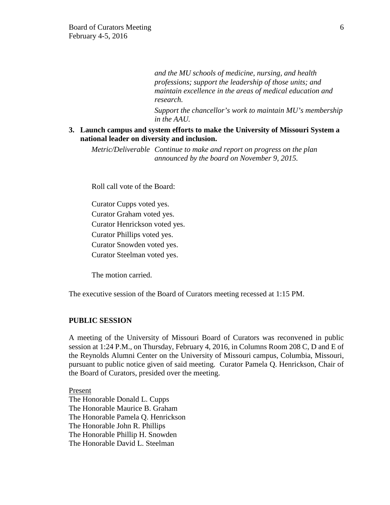*and the MU schools of medicine, nursing, and health professions; support the leadership of those units; and maintain excellence in the areas of medical education and research.*

*Support the chancellor's work to maintain MU's membership in the AAU.*

**3. Launch campus and system efforts to make the University of Missouri System a national leader on diversity and inclusion.**

*Metric/Deliverable Continue to make and report on progress on the plan announced by the board on November 9, 2015.*

Roll call vote of the Board:

Curator Cupps voted yes. Curator Graham voted yes. Curator Henrickson voted yes. Curator Phillips voted yes. Curator Snowden voted yes. Curator Steelman voted yes.

The motion carried.

The executive session of the Board of Curators meeting recessed at 1:15 PM.

### **PUBLIC SESSION**

A meeting of the University of Missouri Board of Curators was reconvened in public session at 1:24 P.M., on Thursday, February 4, 2016, in Columns Room 208 C, D and E of the Reynolds Alumni Center on the University of Missouri campus, Columbia, Missouri, pursuant to public notice given of said meeting. Curator Pamela Q. Henrickson, Chair of the Board of Curators, presided over the meeting.

Present The Honorable Donald L. Cupps The Honorable Maurice B. Graham The Honorable Pamela Q. Henrickson The Honorable John R. Phillips The Honorable Phillip H. Snowden The Honorable David L. Steelman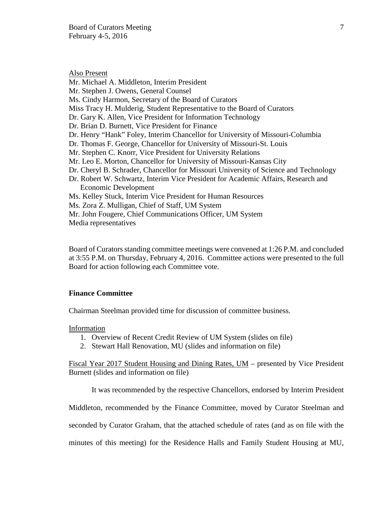Also Present Mr. Michael A. Middleton, Interim President Mr. Stephen J. Owens, General Counsel Ms. Cindy Harmon, Secretary of the Board of Curators Miss Tracy H. Mulderig, Student Representative to the Board of Curators Dr. Gary K. Allen, Vice President for Information Technology Dr. Brian D. Burnett, Vice President for Finance Dr. Henry "Hank" Foley, Interim Chancellor for University of Missouri-Columbia Dr. Thomas F. George, Chancellor for University of Missouri-St. Louis Mr. Stephen C. Knorr, Vice President for University Relations Mr. Leo E. Morton, Chancellor for University of Missouri-Kansas City Dr. Cheryl B. Schrader, Chancellor for Missouri University of Science and Technology Dr. Robert W. Schwartz, Interim Vice President for Academic Affairs, Research and Economic Development Ms. Kelley Stuck, Interim Vice President for Human Resources Ms. Zora Z. Mulligan, Chief of Staff, UM System Mr. John Fougere, Chief Communications Officer, UM System Media representatives

Board of Curators standing committee meetings were convened at 1:26 P.M. and concluded at 3:55 P.M. on Thursday, February 4, 2016. Committee actions were presented to the full Board for action following each Committee vote.

### **Finance Committee**

Chairman Steelman provided time for discussion of committee business.

Information

- 1. Overview of Recent Credit Review of UM System (slides on file)
- 2. Stewart Hall Renovation, MU (slides and information on file)

Fiscal Year 2017 Student Housing and Dining Rates, UM – presented by Vice President Burnett (slides and information on file)

It was recommended by the respective Chancellors, endorsed by Interim President

Middleton, recommended by the Finance Committee, moved by Curator Steelman and

seconded by Curator Graham, that the attached schedule of rates (and as on file with the

minutes of this meeting) for the Residence Halls and Family Student Housing at MU,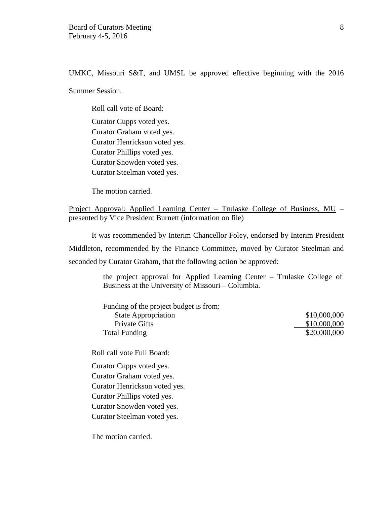UMKC, Missouri S&T, and UMSL be approved effective beginning with the 2016

Summer Session.

Roll call vote of Board: Curator Cupps voted yes. Curator Graham voted yes. Curator Henrickson voted yes. Curator Phillips voted yes. Curator Snowden voted yes. Curator Steelman voted yes.

The motion carried.

Project Approval: Applied Learning Center – Trulaske College of Business, MU – presented by Vice President Burnett (information on file)

It was recommended by Interim Chancellor Foley, endorsed by Interim President Middleton, recommended by the Finance Committee, moved by Curator Steelman and seconded by Curator Graham, that the following action be approved:

> the project approval for Applied Learning Center – Trulaske College of Business at the University of Missouri – Columbia.

| Funding of the project budget is from: |              |
|----------------------------------------|--------------|
| <b>State Appropriation</b>             | \$10,000,000 |
| Private Gifts                          | \$10,000,000 |
| <b>Total Funding</b>                   | \$20,000,000 |

Roll call vote Full Board:

Curator Cupps voted yes. Curator Graham voted yes. Curator Henrickson voted yes. Curator Phillips voted yes. Curator Snowden voted yes. Curator Steelman voted yes.

The motion carried.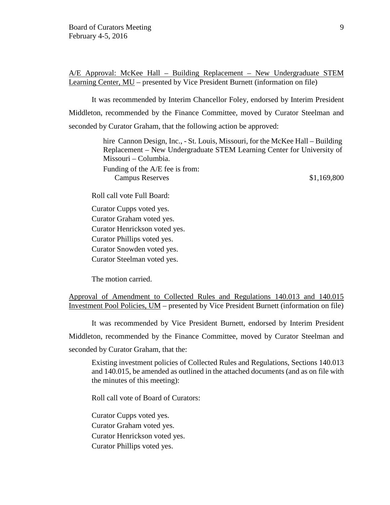A/E Approval: McKee Hall – Building Replacement – New Undergraduate STEM Learning Center, MU – presented by Vice President Burnett (information on file)

It was recommended by Interim Chancellor Foley, endorsed by Interim President Middleton, recommended by the Finance Committee, moved by Curator Steelman and seconded by Curator Graham, that the following action be approved:

> hire Cannon Design, Inc., - St. Louis, Missouri, for the McKee Hall – Building Replacement – New Undergraduate STEM Learning Center for University of Missouri – Columbia. Funding of the A/E fee is from: Campus Reserves  $$1,169,800$

Roll call vote Full Board:

Curator Cupps voted yes. Curator Graham voted yes. Curator Henrickson voted yes. Curator Phillips voted yes. Curator Snowden voted yes. Curator Steelman voted yes.

The motion carried.

Approval of Amendment to Collected Rules and Regulations 140.013 and 140.015 Investment Pool Policies, UM – presented by Vice President Burnett (information on file)

It was recommended by Vice President Burnett, endorsed by Interim President Middleton, recommended by the Finance Committee, moved by Curator Steelman and seconded by Curator Graham, that the:

Existing investment policies of Collected Rules and Regulations, Sections 140.013 and 140.015, be amended as outlined in the attached documents (and as on file with the minutes of this meeting):

Roll call vote of Board of Curators:

Curator Cupps voted yes. Curator Graham voted yes. Curator Henrickson voted yes. Curator Phillips voted yes.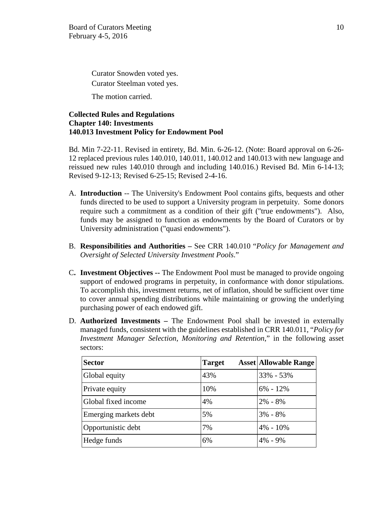Curator Snowden voted yes. Curator Steelman voted yes.

The motion carried.

# **Collected Rules and Regulations Chapter 140: Investments 140.013 Investment Policy for Endowment Pool**

Bd. Min 7-22-11. Revised in entirety, Bd. Min. 6-26-12. (Note: Board approval on 6-26- 12 replaced previous rules 140.010, 140.011, 140.012 and 140.013 with new language and reissued new rules 140.010 through and including 140.016.) Revised Bd. Min 6-14-13; Revised 9-12-13; Revised 6-25-15; Revised 2-4-16.

- A. **Introduction** -- The University's Endowment Pool contains gifts, bequests and other funds directed to be used to support a University program in perpetuity. Some donors require such a commitment as a condition of their gift ("true endowments"). Also, funds may be assigned to function as endowments by the Board of Curators or by University administration ("quasi endowments").
- B. **Responsibilities and Authorities –** See CRR 140.010 "*Policy for Management and Oversight of Selected University Investment Pools*."
- C**. Investment Objectives --** The Endowment Pool must be managed to provide ongoing support of endowed programs in perpetuity, in conformance with donor stipulations. To accomplish this, investment returns, net of inflation, should be sufficient over time to cover annual spending distributions while maintaining or growing the underlying purchasing power of each endowed gift.
- D. **Authorized Investments –** The Endowment Pool shall be invested in externally managed funds, consistent with the guidelines established in CRR 140.011, "*Policy for Investment Manager Selection, Monitoring and Retention*," in the following asset sectors:

| <b>Sector</b>         | <b>Target</b> | <b>Asset Allowable Range</b> |
|-----------------------|---------------|------------------------------|
| Global equity         | 43%           | 33% - 53%                    |
| Private equity        | 10%           | $6\% - 12\%$                 |
| Global fixed income   | 4%            | $2\% - 8\%$                  |
| Emerging markets debt | 5%            | $3\% - 8\%$                  |
| Opportunistic debt    | 7%            | $4\% - 10\%$                 |
| Hedge funds           | 6%            | $4\% - 9\%$                  |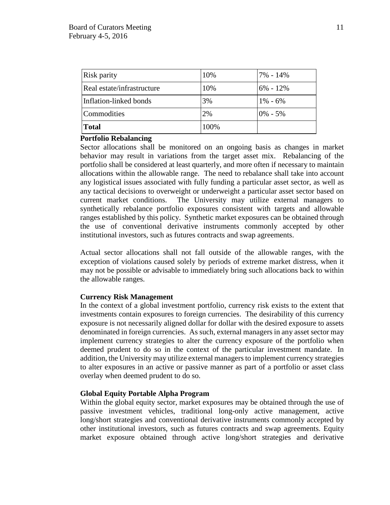| Risk parity                | 10%  | $17\% - 14\%$ |
|----------------------------|------|---------------|
| Real estate/infrastructure | 10%  | $6\% - 12\%$  |
| Inflation-linked bonds     | 3%   | $1\% - 6\%$   |
| Commodities                | 2%   | $0\% - 5\%$   |
| <b>Total</b>               | 100% |               |

# **Portfolio Rebalancing**

Sector allocations shall be monitored on an ongoing basis as changes in market behavior may result in variations from the target asset mix. Rebalancing of the portfolio shall be considered at least quarterly, and more often if necessary to maintain allocations within the allowable range. The need to rebalance shall take into account any logistical issues associated with fully funding a particular asset sector, as well as any tactical decisions to overweight or underweight a particular asset sector based on current market conditions. The University may utilize external managers to synthetically rebalance portfolio exposures consistent with targets and allowable ranges established by this policy. Synthetic market exposures can be obtained through the use of conventional derivative instruments commonly accepted by other institutional investors, such as futures contracts and swap agreements.

Actual sector allocations shall not fall outside of the allowable ranges, with the exception of violations caused solely by periods of extreme market distress, when it may not be possible or advisable to immediately bring such allocations back to within the allowable ranges.

# **Currency Risk Management**

In the context of a global investment portfolio, currency risk exists to the extent that investments contain exposures to foreign currencies. The desirability of this currency exposure is not necessarily aligned dollar for dollar with the desired exposure to assets denominated in foreign currencies. As such, external managers in any asset sector may implement currency strategies to alter the currency exposure of the portfolio when deemed prudent to do so in the context of the particular investment mandate. In addition, the University may utilize external managers to implement currency strategies to alter exposures in an active or passive manner as part of a portfolio or asset class overlay when deemed prudent to do so.

# **Global Equity Portable Alpha Program**

Within the global equity sector, market exposures may be obtained through the use of passive investment vehicles, traditional long-only active management, active long/short strategies and conventional derivative instruments commonly accepted by other institutional investors, such as futures contracts and swap agreements. Equity market exposure obtained through active long/short strategies and derivative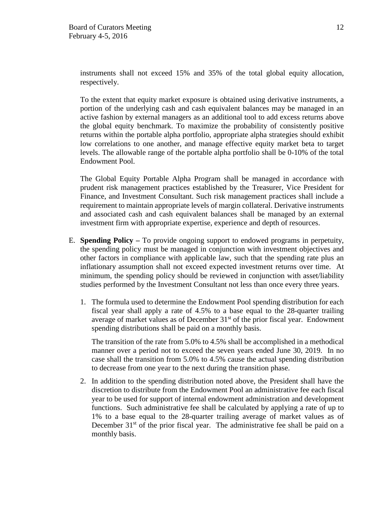instruments shall not exceed 15% and 35% of the total global equity allocation, respectively.

To the extent that equity market exposure is obtained using derivative instruments, a portion of the underlying cash and cash equivalent balances may be managed in an active fashion by external managers as an additional tool to add excess returns above the global equity benchmark. To maximize the probability of consistently positive returns within the portable alpha portfolio, appropriate alpha strategies should exhibit low correlations to one another, and manage effective equity market beta to target levels. The allowable range of the portable alpha portfolio shall be 0-10% of the total Endowment Pool.

The Global Equity Portable Alpha Program shall be managed in accordance with prudent risk management practices established by the Treasurer, Vice President for Finance, and Investment Consultant. Such risk management practices shall include a requirement to maintain appropriate levels of margin collateral. Derivative instruments and associated cash and cash equivalent balances shall be managed by an external investment firm with appropriate expertise, experience and depth of resources.

- E. **Spending Policy –** To provide ongoing support to endowed programs in perpetuity, the spending policy must be managed in conjunction with investment objectives and other factors in compliance with applicable law, such that the spending rate plus an inflationary assumption shall not exceed expected investment returns over time. At minimum, the spending policy should be reviewed in conjunction with asset/liability studies performed by the Investment Consultant not less than once every three years.
	- 1. The formula used to determine the Endowment Pool spending distribution for each fiscal year shall apply a rate of 4.5% to a base equal to the 28-quarter trailing average of market values as of December  $31<sup>st</sup>$  of the prior fiscal year. Endowment spending distributions shall be paid on a monthly basis.

The transition of the rate from 5.0% to 4.5% shall be accomplished in a methodical manner over a period not to exceed the seven years ended June 30, 2019. In no case shall the transition from 5.0% to 4.5% cause the actual spending distribution to decrease from one year to the next during the transition phase.

2. In addition to the spending distribution noted above, the President shall have the discretion to distribute from the Endowment Pool an administrative fee each fiscal year to be used for support of internal endowment administration and development functions. Such administrative fee shall be calculated by applying a rate of up to 1% to a base equal to the 28-quarter trailing average of market values as of December  $31<sup>st</sup>$  of the prior fiscal year. The administrative fee shall be paid on a monthly basis.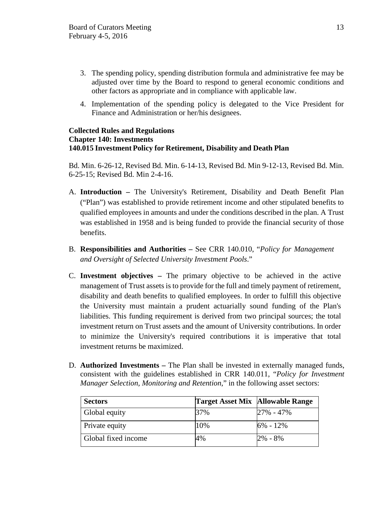- 3. The spending policy, spending distribution formula and administrative fee may be adjusted over time by the Board to respond to general economic conditions and other factors as appropriate and in compliance with applicable law.
- 4. Implementation of the spending policy is delegated to the Vice President for Finance and Administration or her/his designees.

### **Collected Rules and Regulations Chapter 140: Investments 140.015 Investment Policy for Retirement, Disability and Death Plan**

Bd. Min. 6-26-12, Revised Bd. Min. 6-14-13, Revised Bd. Min 9-12-13, Revised Bd. Min. 6-25-15; Revised Bd. Min 2-4-16.

- A. **Introduction –** The University's Retirement, Disability and Death Benefit Plan ("Plan") was established to provide retirement income and other stipulated benefits to qualified employees in amounts and under the conditions described in the plan. A Trust was established in 1958 and is being funded to provide the financial security of those benefits.
- B. **Responsibilities and Authorities –** See CRR 140.010, "*Policy for Management and Oversight of Selected University Investment Pools*."
- C. **Investment objectives –** The primary objective to be achieved in the active management of Trust assets is to provide for the full and timely payment of retirement, disability and death benefits to qualified employees. In order to fulfill this objective the University must maintain a prudent actuarially sound funding of the Plan's liabilities. This funding requirement is derived from two principal sources; the total investment return on Trust assets and the amount of University contributions. In order to minimize the University's required contributions it is imperative that total investment returns be maximized.
- D. **Authorized Investments –** The Plan shall be invested in externally managed funds, consistent with the guidelines established in CRR 140.011, "*Policy for Investment Manager Selection, Monitoring and Retention*," in the following asset sectors:

| <b>Sectors</b>      | Target Asset Mix Allowable Range |               |
|---------------------|----------------------------------|---------------|
| Global equity       | 37%                              | $27\% - 47\%$ |
| Private equity      | 10%                              | $6\% - 12\%$  |
| Global fixed income | 4%                               | $2\% - 8\%$   |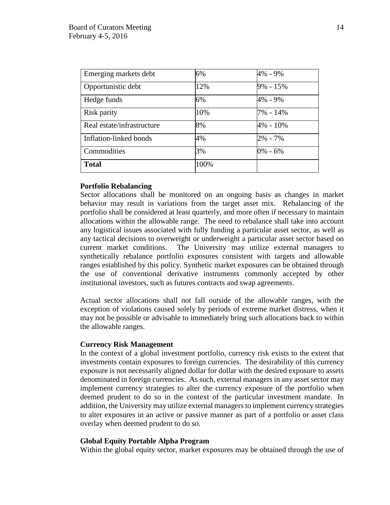| Emerging markets debt      | 6%   | 4% - 9%      |
|----------------------------|------|--------------|
| Opportunistic debt         | 12%  | $9\% - 15\%$ |
| Hedge funds                | 6%   | 4% - 9%      |
| Risk parity                | 10%  | 7% - 14%     |
| Real estate/infrastructure | 8%   | 4% - 10%     |
| Inflation-linked bonds     | 4%   | $2\% - 7\%$  |
| Commodities                | 3%   | 0% - 6%      |
| <b>Total</b>               | 100% |              |

# **Portfolio Rebalancing**

Sector allocations shall be monitored on an ongoing basis as changes in market behavior may result in variations from the target asset mix. Rebalancing of the portfolio shall be considered at least quarterly, and more often if necessary to maintain allocations within the allowable range. The need to rebalance shall take into account any logistical issues associated with fully funding a particular asset sector, as well as any tactical decisions to overweight or underweight a particular asset sector based on current market conditions. The University may utilize external managers to synthetically rebalance portfolio exposures consistent with targets and allowable ranges established by this policy. Synthetic market exposures can be obtained through the use of conventional derivative instruments commonly accepted by other institutional investors, such as futures contracts and swap agreements.

Actual sector allocations shall not fall outside of the allowable ranges, with the exception of violations caused solely by periods of extreme market distress, when it may not be possible or advisable to immediately bring such allocations back to within the allowable ranges.

### **Currency Risk Management**

In the context of a global investment portfolio, currency risk exists to the extent that investments contain exposures to foreign currencies. The desirability of this currency exposure is not necessarily aligned dollar for dollar with the desired exposure to assets denominated in foreign currencies. As such, external managers in any asset sector may implement currency strategies to alter the currency exposure of the portfolio when deemed prudent to do so in the context of the particular investment mandate. In addition, the University may utilize external managers to implement currency strategies to alter exposures in an active or passive manner as part of a portfolio or asset class overlay when deemed prudent to do so.

### **Global Equity Portable Alpha Program**

Within the global equity sector, market exposures may be obtained through the use of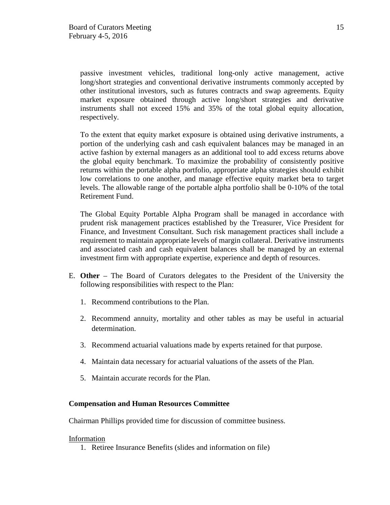passive investment vehicles, traditional long-only active management, active long/short strategies and conventional derivative instruments commonly accepted by other institutional investors, such as futures contracts and swap agreements. Equity market exposure obtained through active long/short strategies and derivative instruments shall not exceed 15% and 35% of the total global equity allocation, respectively.

To the extent that equity market exposure is obtained using derivative instruments, a portion of the underlying cash and cash equivalent balances may be managed in an active fashion by external managers as an additional tool to add excess returns above the global equity benchmark. To maximize the probability of consistently positive returns within the portable alpha portfolio, appropriate alpha strategies should exhibit low correlations to one another, and manage effective equity market beta to target levels. The allowable range of the portable alpha portfolio shall be 0-10% of the total Retirement Fund.

The Global Equity Portable Alpha Program shall be managed in accordance with prudent risk management practices established by the Treasurer, Vice President for Finance, and Investment Consultant. Such risk management practices shall include a requirement to maintain appropriate levels of margin collateral. Derivative instruments and associated cash and cash equivalent balances shall be managed by an external investment firm with appropriate expertise, experience and depth of resources.

- E. **Other** The Board of Curators delegates to the President of the University the following responsibilities with respect to the Plan:
	- 1. Recommend contributions to the Plan.
	- 2. Recommend annuity, mortality and other tables as may be useful in actuarial determination.
	- 3. Recommend actuarial valuations made by experts retained for that purpose.
	- 4. Maintain data necessary for actuarial valuations of the assets of the Plan.
	- 5. Maintain accurate records for the Plan.

# **Compensation and Human Resources Committee**

Chairman Phillips provided time for discussion of committee business.

# Information

1. Retiree Insurance Benefits (slides and information on file)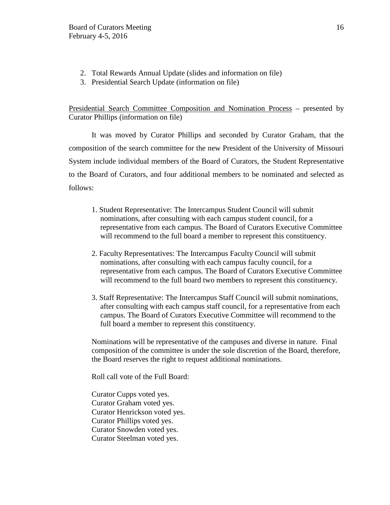- 2. Total Rewards Annual Update (slides and information on file)
- 3. Presidential Search Update (information on file)

Presidential Search Committee Composition and Nomination Process – presented by Curator Phillips (information on file)

It was moved by Curator Phillips and seconded by Curator Graham, that the composition of the search committee for the new President of the University of Missouri System include individual members of the Board of Curators, the Student Representative to the Board of Curators, and four additional members to be nominated and selected as follows:

- 1. Student Representative: The Intercampus Student Council will submit nominations, after consulting with each campus student council, for a representative from each campus. The Board of Curators Executive Committee will recommend to the full board a member to represent this constituency.
- 2. Faculty Representatives: The Intercampus Faculty Council will submit nominations, after consulting with each campus faculty council, for a representative from each campus. The Board of Curators Executive Committee will recommend to the full board two members to represent this constituency.
- 3. Staff Representative: The Intercampus Staff Council will submit nominations, after consulting with each campus staff council, for a representative from each campus. The Board of Curators Executive Committee will recommend to the full board a member to represent this constituency.

Nominations will be representative of the campuses and diverse in nature. Final composition of the committee is under the sole discretion of the Board, therefore, the Board reserves the right to request additional nominations.

Roll call vote of the Full Board:

Curator Cupps voted yes. Curator Graham voted yes. Curator Henrickson voted yes. Curator Phillips voted yes. Curator Snowden voted yes. Curator Steelman voted yes.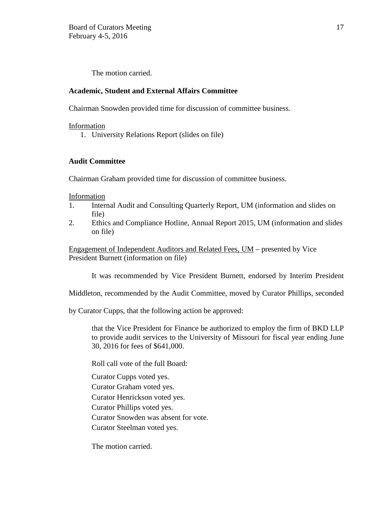The motion carried.

# **Academic, Student and External Affairs Committee**

Chairman Snowden provided time for discussion of committee business.

Information

1. University Relations Report (slides on file)

# **Audit Committee**

Chairman Graham provided time for discussion of committee business.

Information

- 1. Internal Audit and Consulting Quarterly Report, UM (information and slides on file)
- 2. Ethics and Compliance Hotline, Annual Report 2015, UM (information and slides on file)

Engagement of Independent Auditors and Related Fees, UM – presented by Vice President Burnett (information on file)

It was recommended by Vice President Burnett, endorsed by Interim President

Middleton, recommended by the Audit Committee, moved by Curator Phillips, seconded

by Curator Cupps, that the following action be approved:

that the Vice President for Finance be authorized to employ the firm of BKD LLP to provide audit services to the University of Missouri for fiscal year ending June 30, 2016 for fees of \$641,000.

Roll call vote of the full Board:

Curator Cupps voted yes.

Curator Graham voted yes.

Curator Henrickson voted yes.

Curator Phillips voted yes.

Curator Snowden was absent for vote.

Curator Steelman voted yes.

The motion carried.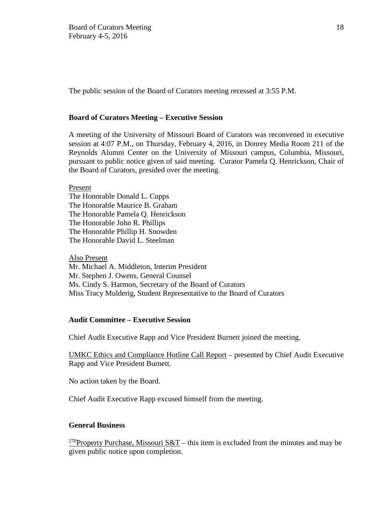The public session of the Board of Curators meeting recessed at 3:55 P.M.

### **Board of Curators Meeting – Executive Session**

A meeting of the University of Missouri Board of Curators was reconvened in executive session at 4:07 P.M., on Thursday, February 4, 2016, in Donrey Media Room 211 of the Reynolds Alumni Center on the University of Missouri campus, Columbia, Missouri, pursuant to public notice given of said meeting. Curator Pamela Q. Henrickson, Chair of the Board of Curators, presided over the meeting.

Present

The Honorable Donald L. Cupps The Honorable Maurice B. Graham The Honorable Pamela Q. Henrickson The Honorable John R. Phillips The Honorable Phillip H. Snowden The Honorable David L. Steelman

Also Present

Mr. Michael A. Middleton, Interim President Mr. Stephen J. Owens, General Counsel Ms. Cindy S. Harmon, Secretary of the Board of Curators Miss Tracy Mulderig, Student Representative to the Board of Curators

# **Audit Committee – Executive Session**

Chief Audit Executive Rapp and Vice President Burnett joined the meeting.

UMKC Ethics and Compliance Hotline Call Report – presented by Chief Audit Executive Rapp and Vice President Burnett.

No action taken by the Board.

Chief Audit Executive Rapp excused himself from the meeting.

### **General Business**

<sup>270</sup>Property Purchase, Missouri S&T – this item is excluded from the minutes and may be given public notice upon completion.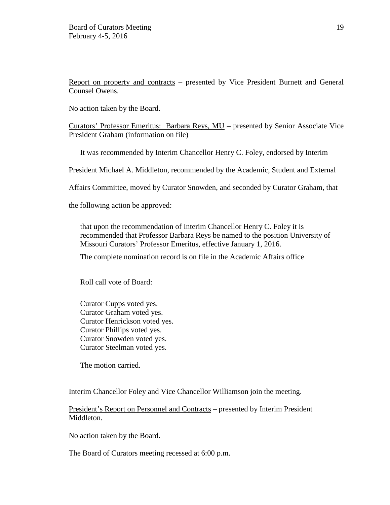Report on property and contracts – presented by Vice President Burnett and General Counsel Owens.

No action taken by the Board.

Curators' Professor Emeritus: Barbara Reys, MU – presented by Senior Associate Vice President Graham (information on file)

It was recommended by Interim Chancellor Henry C. Foley, endorsed by Interim

President Michael A. Middleton, recommended by the Academic, Student and External

Affairs Committee, moved by Curator Snowden, and seconded by Curator Graham, that

the following action be approved:

that upon the recommendation of Interim Chancellor Henry C. Foley it is recommended that Professor Barbara Reys be named to the position University of Missouri Curators' Professor Emeritus, effective January 1, 2016.

The complete nomination record is on file in the Academic Affairs office

Roll call vote of Board:

Curator Cupps voted yes. Curator Graham voted yes. Curator Henrickson voted yes. Curator Phillips voted yes. Curator Snowden voted yes. Curator Steelman voted yes.

The motion carried.

Interim Chancellor Foley and Vice Chancellor Williamson join the meeting.

President's Report on Personnel and Contracts – presented by Interim President Middleton.

No action taken by the Board.

The Board of Curators meeting recessed at 6:00 p.m.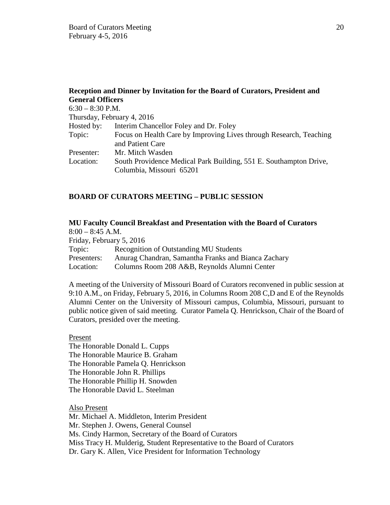|                         | Reception and Dinner by Invitation for the Board of Curators, President and            |
|-------------------------|----------------------------------------------------------------------------------------|
| <b>General Officers</b> |                                                                                        |
| $6:30 - 8:30$ P.M.      |                                                                                        |
|                         | Thursday, February 4, 2016                                                             |
| Hosted by:              | Interim Chancellor Foley and Dr. Foley                                                 |
| Topic:                  | Focus on Health Care by Improving Lives through Research, Teaching<br>and Patient Care |
| Presenter:              | Mr. Mitch Wasden                                                                       |
| Location:               | South Providence Medical Park Building, 551 E. Southampton Drive,                      |
|                         | Columbia, Missouri 65201                                                               |

# **BOARD OF CURATORS MEETING – PUBLIC SESSION**

# **MU Faculty Council Breakfast and Presentation with the Board of Curators**

 $8:00 - 8:45$  A.M.

Friday, February 5, 2016

Topic: Recognition of Outstanding MU Students

Presenters: Anurag Chandran, Samantha Franks and Bianca Zachary

Location: Columns Room 208 A&B, Reynolds Alumni Center

A meeting of the University of Missouri Board of Curators reconvened in public session at 9:10 A.M., on Friday, February 5, 2016, in Columns Room 208 C,D and E of the Reynolds Alumni Center on the University of Missouri campus, Columbia, Missouri, pursuant to public notice given of said meeting. Curator Pamela Q. Henrickson, Chair of the Board of Curators, presided over the meeting.

Present

The Honorable Donald L. Cupps The Honorable Maurice B. Graham The Honorable Pamela Q. Henrickson The Honorable John R. Phillips The Honorable Phillip H. Snowden The Honorable David L. Steelman

Also Present

Mr. Michael A. Middleton, Interim President Mr. Stephen J. Owens, General Counsel Ms. Cindy Harmon, Secretary of the Board of Curators Miss Tracy H. Mulderig, Student Representative to the Board of Curators Dr. Gary K. Allen, Vice President for Information Technology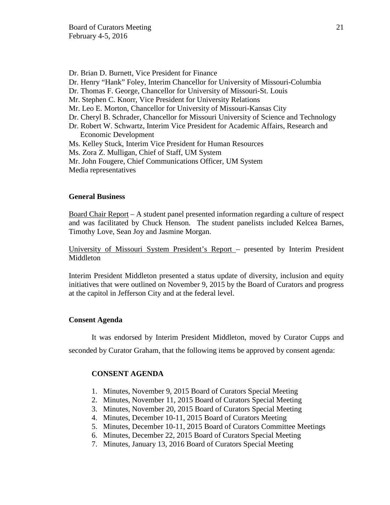- Dr. Brian D. Burnett, Vice President for Finance
- Dr. Henry "Hank" Foley, Interim Chancellor for University of Missouri-Columbia
- Dr. Thomas F. George, Chancellor for University of Missouri-St. Louis
- Mr. Stephen C. Knorr, Vice President for University Relations
- Mr. Leo E. Morton, Chancellor for University of Missouri-Kansas City
- Dr. Cheryl B. Schrader, Chancellor for Missouri University of Science and Technology
- Dr. Robert W. Schwartz, Interim Vice President for Academic Affairs, Research and Economic Development
- Ms. Kelley Stuck, Interim Vice President for Human Resources
- Ms. Zora Z. Mulligan, Chief of Staff, UM System
- Mr. John Fougere, Chief Communications Officer, UM System
- Media representatives

### **General Business**

Board Chair Report – A student panel presented information regarding a culture of respect and was facilitated by Chuck Henson. The student panelists included Kelcea Barnes, Timothy Love, Sean Joy and Jasmine Morgan.

University of Missouri System President's Report – presented by Interim President Middleton

Interim President Middleton presented a status update of diversity, inclusion and equity initiatives that were outlined on November 9, 2015 by the Board of Curators and progress at the capitol in Jefferson City and at the federal level.

#### **Consent Agenda**

It was endorsed by Interim President Middleton, moved by Curator Cupps and seconded by Curator Graham, that the following items be approved by consent agenda:

### **CONSENT AGENDA**

- 1. Minutes, November 9, 2015 Board of Curators Special Meeting
- 2. Minutes, November 11, 2015 Board of Curators Special Meeting
- 3. Minutes, November 20, 2015 Board of Curators Special Meeting
- 4. Minutes, December 10-11, 2015 Board of Curators Meeting
- 5. Minutes, December 10-11, 2015 Board of Curators Committee Meetings
- 6. Minutes, December 22, 2015 Board of Curators Special Meeting
- 7. Minutes, January 13, 2016 Board of Curators Special Meeting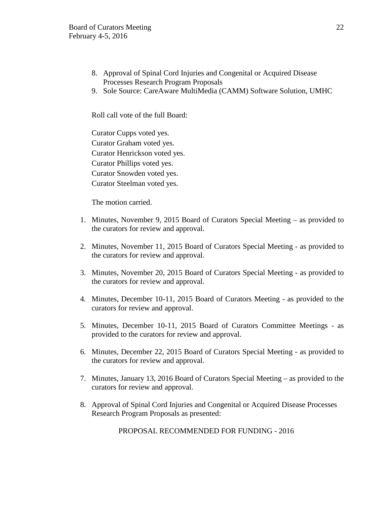- 8. Approval of Spinal Cord Injuries and Congenital or Acquired Disease Processes Research Program Proposals
- 9. Sole Source: CareAware MultiMedia (CAMM) Software Solution, UMHC

Roll call vote of the full Board:

Curator Cupps voted yes. Curator Graham voted yes. Curator Henrickson voted yes. Curator Phillips voted yes. Curator Snowden voted yes. Curator Steelman voted yes.

The motion carried.

- 1. Minutes, November 9, 2015 Board of Curators Special Meeting as provided to the curators for review and approval.
- 2. Minutes, November 11, 2015 Board of Curators Special Meeting as provided to the curators for review and approval.
- 3. Minutes, November 20, 2015 Board of Curators Special Meeting as provided to the curators for review and approval.
- 4. Minutes, December 10-11, 2015 Board of Curators Meeting as provided to the curators for review and approval.
- 5. Minutes, December 10-11, 2015 Board of Curators Committee Meetings as provided to the curators for review and approval.
- 6. Minutes, December 22, 2015 Board of Curators Special Meeting as provided to the curators for review and approval.
- 7. Minutes, January 13, 2016 Board of Curators Special Meeting as provided to the curators for review and approval.
- 8. Approval of Spinal Cord Injuries and Congenital or Acquired Disease Processes Research Program Proposals as presented:

PROPOSAL RECOMMENDED FOR FUNDING - 2016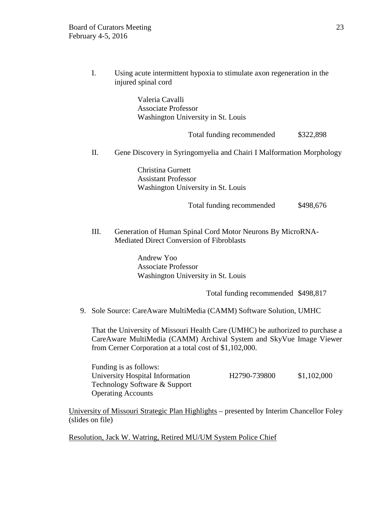I. Using acute intermittent hypoxia to stimulate axon regeneration in the injured spinal cord

> Valeria Cavalli Associate Professor Washington University in St. Louis

> > Total funding recommended \$322,898

II. Gene Discovery in Syringomyelia and Chairi I Malformation Morphology

Christina Gurnett Assistant Professor Washington University in St. Louis

Total funding recommended \$498,676

III. Generation of Human Spinal Cord Motor Neurons By MicroRNA-Mediated Direct Conversion of Fibroblasts

> Andrew Yoo Associate Professor Washington University in St. Louis

> > Total funding recommended \$498,817

9. Sole Source: CareAware MultiMedia (CAMM) Software Solution, UMHC

That the University of Missouri Health Care (UMHC) be authorized to purchase a CareAware MultiMedia (CAMM) Archival System and SkyVue Image Viewer from Cerner Corporation at a total cost of \$1,102,000.

Funding is as follows: University Hospital Information H2790-739800 \$1,102,000 Technology Software & Support Operating Accounts

University of Missouri Strategic Plan Highlights – presented by Interim Chancellor Foley (slides on file)

Resolution, Jack W. Watring, Retired MU/UM System Police Chief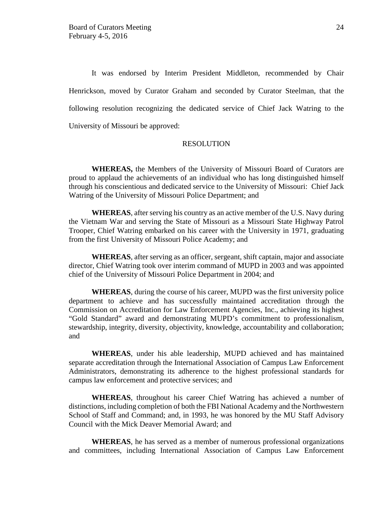It was endorsed by Interim President Middleton, recommended by Chair Henrickson, moved by Curator Graham and seconded by Curator Steelman, that the following resolution recognizing the dedicated service of Chief Jack Watring to the University of Missouri be approved:

#### RESOLUTION

**WHEREAS,** the Members of the University of Missouri Board of Curators are proud to applaud the achievements of an individual who has long distinguished himself through his conscientious and dedicated service to the University of Missouri: Chief Jack Watring of the University of Missouri Police Department; and

**WHEREAS**, after serving his country as an active member of the U.S. Navy during the Vietnam War and serving the State of Missouri as a Missouri State Highway Patrol Trooper, Chief Watring embarked on his career with the University in 1971, graduating from the first University of Missouri Police Academy; and

**WHEREAS**, after serving as an officer, sergeant, shift captain, major and associate director, Chief Watring took over interim command of MUPD in 2003 and was appointed chief of the University of Missouri Police Department in 2004; and

**WHEREAS**, during the course of his career, MUPD was the first university police department to achieve and has successfully maintained accreditation through the Commission on Accreditation for Law Enforcement Agencies, Inc., achieving its highest "Gold Standard" award and demonstrating MUPD's commitment to professionalism, stewardship, integrity, diversity, objectivity, knowledge, accountability and collaboration; and

**WHEREAS**, under his able leadership, MUPD achieved and has maintained separate accreditation through the International Association of Campus Law Enforcement Administrators, demonstrating its adherence to the highest professional standards for campus law enforcement and protective services; and

**WHEREAS**, throughout his career Chief Watring has achieved a number of distinctions, including completion of both the FBI National Academy and the Northwestern School of Staff and Command; and, in 1993, he was honored by the MU Staff Advisory Council with the Mick Deaver Memorial Award; and

**WHEREAS**, he has served as a member of numerous professional organizations and committees, including International Association of Campus Law Enforcement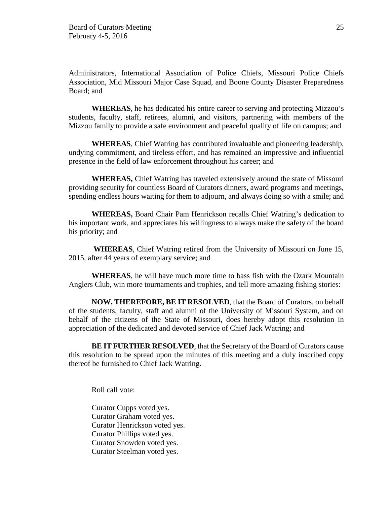Administrators, International Association of Police Chiefs, Missouri Police Chiefs Association, Mid Missouri Major Case Squad, and Boone County Disaster Preparedness Board; and

**WHEREAS**, he has dedicated his entire career to serving and protecting Mizzou's students, faculty, staff, retirees, alumni, and visitors, partnering with members of the Mizzou family to provide a safe environment and peaceful quality of life on campus; and

**WHEREAS**, Chief Watring has contributed invaluable and pioneering leadership, undying commitment, and tireless effort, and has remained an impressive and influential presence in the field of law enforcement throughout his career; and

**WHEREAS,** Chief Watring has traveled extensively around the state of Missouri providing security for countless Board of Curators dinners, award programs and meetings, spending endless hours waiting for them to adjourn, and always doing so with a smile; and

**WHEREAS,** Board Chair Pam Henrickson recalls Chief Watring's dedication to his important work, and appreciates his willingness to always make the safety of the board his priority; and

**WHEREAS**, Chief Watring retired from the University of Missouri on June 15, 2015, after 44 years of exemplary service; and

**WHEREAS**, he will have much more time to bass fish with the Ozark Mountain Anglers Club, win more tournaments and trophies, and tell more amazing fishing stories:

**NOW, THEREFORE, BE IT RESOLVED**, that the Board of Curators, on behalf of the students, faculty, staff and alumni of the University of Missouri System, and on behalf of the citizens of the State of Missouri, does hereby adopt this resolution in appreciation of the dedicated and devoted service of Chief Jack Watring; and

**BE IT FURTHER RESOLVED**, that the Secretary of the Board of Curators cause this resolution to be spread upon the minutes of this meeting and a duly inscribed copy thereof be furnished to Chief Jack Watring.

Roll call vote:

Curator Cupps voted yes. Curator Graham voted yes. Curator Henrickson voted yes. Curator Phillips voted yes. Curator Snowden voted yes. Curator Steelman voted yes.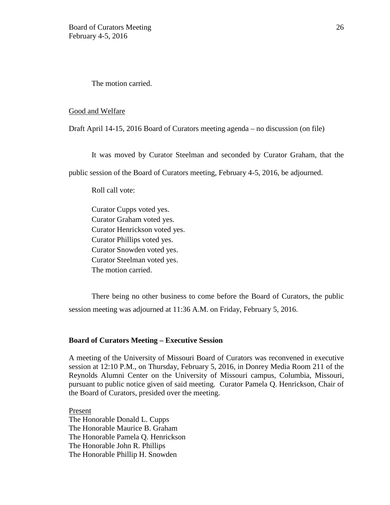The motion carried.

#### Good and Welfare

Draft April 14-15, 2016 Board of Curators meeting agenda – no discussion (on file)

It was moved by Curator Steelman and seconded by Curator Graham, that the

public session of the Board of Curators meeting, February 4-5, 2016, be adjourned.

Roll call vote:

Curator Cupps voted yes. Curator Graham voted yes. Curator Henrickson voted yes. Curator Phillips voted yes. Curator Snowden voted yes. Curator Steelman voted yes. The motion carried.

There being no other business to come before the Board of Curators, the public session meeting was adjourned at 11:36 A.M. on Friday, February 5, 2016.

### **Board of Curators Meeting – Executive Session**

A meeting of the University of Missouri Board of Curators was reconvened in executive session at 12:10 P.M., on Thursday, February 5, 2016, in Donrey Media Room 211 of the Reynolds Alumni Center on the University of Missouri campus, Columbia, Missouri, pursuant to public notice given of said meeting. Curator Pamela Q. Henrickson, Chair of the Board of Curators, presided over the meeting.

Present The Honorable Donald L. Cupps The Honorable Maurice B. Graham The Honorable Pamela Q. Henrickson The Honorable John R. Phillips The Honorable Phillip H. Snowden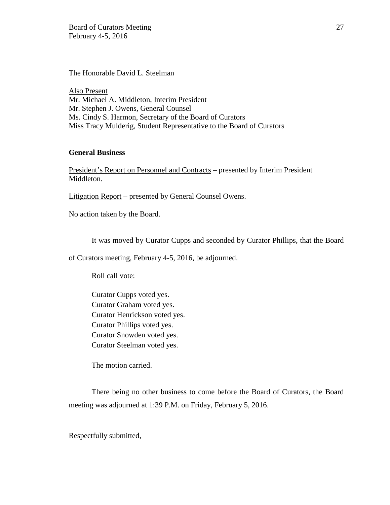Board of Curators Meeting 27 February 4-5, 2016

The Honorable David L. Steelman

Also Present Mr. Michael A. Middleton, Interim President Mr. Stephen J. Owens, General Counsel Ms. Cindy S. Harmon, Secretary of the Board of Curators Miss Tracy Mulderig, Student Representative to the Board of Curators

# **General Business**

President's Report on Personnel and Contracts – presented by Interim President Middleton.

Litigation Report – presented by General Counsel Owens.

No action taken by the Board.

It was moved by Curator Cupps and seconded by Curator Phillips, that the Board

of Curators meeting, February 4-5, 2016, be adjourned.

Roll call vote:

Curator Cupps voted yes. Curator Graham voted yes. Curator Henrickson voted yes. Curator Phillips voted yes. Curator Snowden voted yes. Curator Steelman voted yes.

The motion carried.

There being no other business to come before the Board of Curators, the Board meeting was adjourned at 1:39 P.M. on Friday, February 5, 2016.

Respectfully submitted,